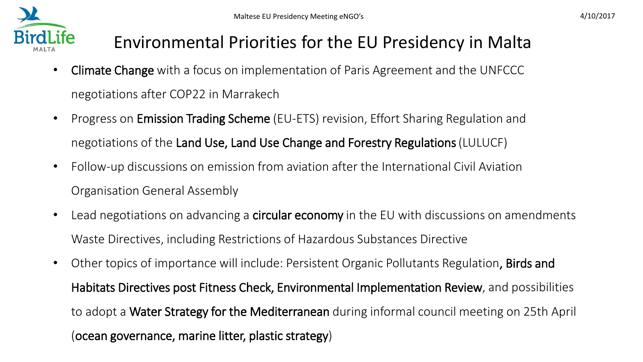# Environmental Priorities for the EU Presidency in Malta

- Climate Change with a focus on implementation of Paris Agreement and the UNFCCC negotiations after COP22 in Marrakech
- Progress on Emission Trading Scheme (EU-ETS) revision, Effort Sharing Regulation and negotiations of the Land Use, Land Use Change and Forestry Regulations (LULUCF)
- Follow-up discussions on emission from aviation after the International Civil Aviation Organisation General Assembly
- Lead negotiations on advancing a circular economy in the EU with discussions on amendments Waste Directives, including Restrictions of Hazardous Substances Directive
- Other topics of importance will include: Persistent Organic Pollutants Regulation, Birds and Habitats Directives post Fitness Check, Environmental Implementation Review, and possibilities to adopt a Water Strategy for the Mediterranean during informal council meeting on 25th April (ocean governance, marine litter, plastic strategy)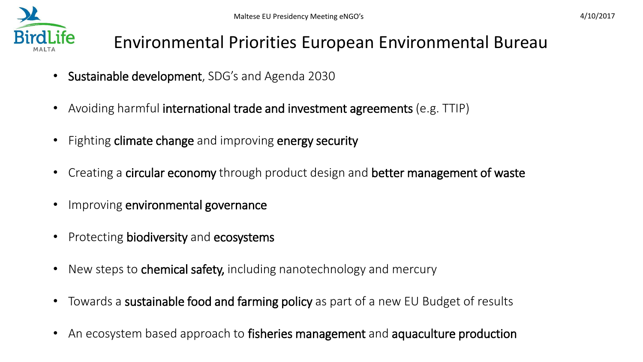

## Environmental Priorities European Environmental Bureau

- Sustainable development, SDG's and Agenda 2030
- Avoiding harmful international trade and investment agreements (e.g. TTIP)
- Fighting climate change and improving energy security
- Creating a circular economy through product design and better management of waste
- Improving environmental governance
- Protecting biodiversity and ecosystems
- New steps to chemical safety, including nanotechnology and mercury
- Towards a sustainable food and farming policy as part of a new EU Budget of results
- An ecosystem based approach to fisheries management and aquaculture production